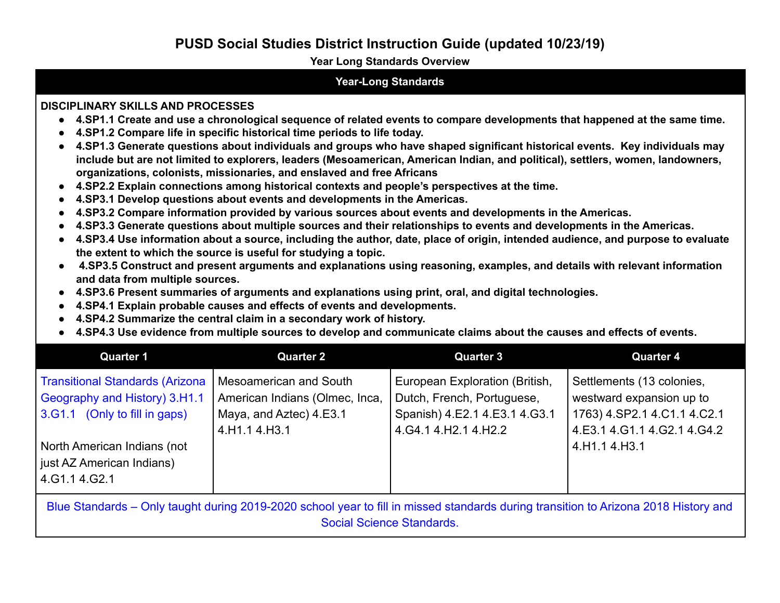#### **Year Long Standards Overview**

#### **Year-Long Standards**

#### **DISCIPLINARY SKILLS AND PROCESSES**

- 4.SP1.1 Create and use a chronological sequence of related events to compare developments that happened at the same time.
- **● 4.SP1.2 Compare life in specific historical time periods to life today.**
- 4.SP1.3 Generate questions about individuals and groups who have shaped significant historical events. Key individuals may include but are not limited to explorers, leaders (Mesoamerican, American Indian, and political), settlers, women, landowners, **organizations, colonists, missionaries, and enslaved and free Africans**
- **● 4.SP2.2 Explain connections among historical contexts and people's perspectives at the time.**
- **● 4.SP3.1 Develop questions about events and developments in the Americas.**
- **● 4.SP3.2 Compare information provided by various sources about events and developments in the Americas.**
- 4.SP3.3 Generate questions about multiple sources and their relationships to events and developments in the Americas.
- 4.SP3.4 Use information about a source, including the author, date, place of origin, intended audience, and purpose to evaluate **the extent to which the source is useful for studying a topic.**
- 4.SP3.5 Construct and present arguments and explanations using reasoning, examples, and details with relevant information **and data from multiple sources.**
- **● 4.SP3.6 Present summaries of arguments and explanations using print, oral, and digital technologies.**
- **● 4.SP4.1 Explain probable causes and effects of events and developments.**
- **● 4.SP4.2 Summarize the central claim in a secondary work of history.**
- 4.SP4.3 Use evidence from multiple sources to develop and communicate claims about the causes and effects of events.

| <b>Quarter 1</b>                                                                                                                                                        | <b>Quarter 2</b>                                                                                     | <b>Quarter 3</b>                                                                                                         | <b>Quarter 4</b>                                                                                                    |
|-------------------------------------------------------------------------------------------------------------------------------------------------------------------------|------------------------------------------------------------------------------------------------------|--------------------------------------------------------------------------------------------------------------------------|---------------------------------------------------------------------------------------------------------------------|
| Transitional Standards (Arizona<br>Geography and History) 3.H1.1<br>3.G1.1 (Only to fill in gaps)                                                                       | Mesoamerican and South<br>American Indians (Olmec, Inca,<br>Maya, and Aztec) 4.E3.1<br>4.H1.1 4.H3.1 | European Exploration (British,<br>Dutch, French, Portuguese,<br>Spanish) 4.E2.1 4.E3.1 4.G3.1<br>4. G4.1 4. H2.1 4. H2.2 | Settlements (13 colonies,<br>westward expansion up to<br>1763) 4.SP2.1 4.C1.1 4.C2.1<br>4.E3.1 4.G1.1 4.G2.1 4.G4.2 |
| North American Indians (not<br>just AZ American Indians)<br>4.G1.14.G2.1                                                                                                |                                                                                                      |                                                                                                                          | 4.H1.1 4.H3.1                                                                                                       |
| Blue Standards – Only taught during 2019-2020 school year to fill in missed standards during transition to Arizona 2018 History and<br><b>Social Science Standards.</b> |                                                                                                      |                                                                                                                          |                                                                                                                     |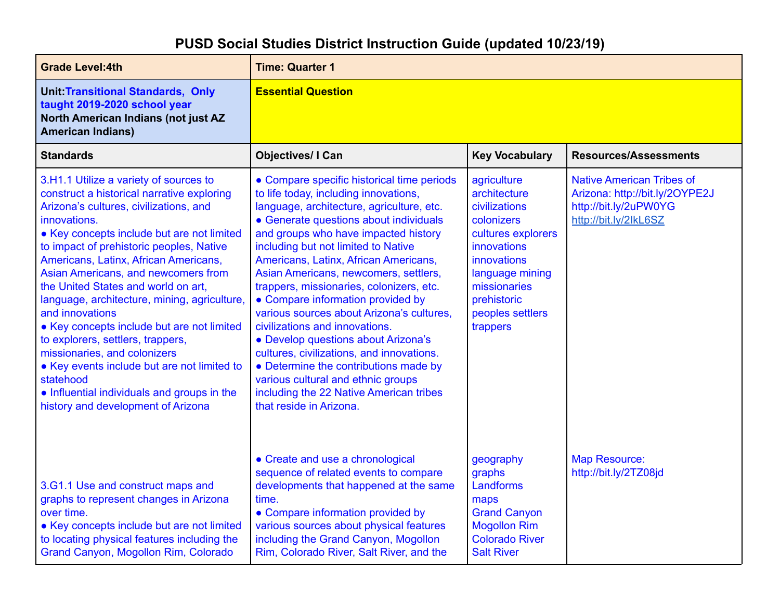| <b>Grade Level:4th</b>                                                                                                                                                                                                                                                                                                                                                                                                                                                                                                                                                                                                                                                                                 | <b>Time: Quarter 1</b>                                                                                                                                                                                                                                                                                                                                                                                                                                                                                                                                                                                                                                                                                                                               |                                                                                                                                                                                                  |                                                                                                                      |
|--------------------------------------------------------------------------------------------------------------------------------------------------------------------------------------------------------------------------------------------------------------------------------------------------------------------------------------------------------------------------------------------------------------------------------------------------------------------------------------------------------------------------------------------------------------------------------------------------------------------------------------------------------------------------------------------------------|------------------------------------------------------------------------------------------------------------------------------------------------------------------------------------------------------------------------------------------------------------------------------------------------------------------------------------------------------------------------------------------------------------------------------------------------------------------------------------------------------------------------------------------------------------------------------------------------------------------------------------------------------------------------------------------------------------------------------------------------------|--------------------------------------------------------------------------------------------------------------------------------------------------------------------------------------------------|----------------------------------------------------------------------------------------------------------------------|
| <b>Unit: Transitional Standards, Only</b><br>taught 2019-2020 school year<br>North American Indians (not just AZ<br><b>American Indians)</b>                                                                                                                                                                                                                                                                                                                                                                                                                                                                                                                                                           | <b>Essential Question</b>                                                                                                                                                                                                                                                                                                                                                                                                                                                                                                                                                                                                                                                                                                                            |                                                                                                                                                                                                  |                                                                                                                      |
| <b>Standards</b>                                                                                                                                                                                                                                                                                                                                                                                                                                                                                                                                                                                                                                                                                       | <b>Objectives/ I Can</b>                                                                                                                                                                                                                                                                                                                                                                                                                                                                                                                                                                                                                                                                                                                             | <b>Key Vocabulary</b>                                                                                                                                                                            | <b>Resources/Assessments</b>                                                                                         |
| 3.H1.1 Utilize a variety of sources to<br>construct a historical narrative exploring<br>Arizona's cultures, civilizations, and<br>innovations.<br>• Key concepts include but are not limited<br>to impact of prehistoric peoples, Native<br>Americans, Latinx, African Americans,<br>Asian Americans, and newcomers from<br>the United States and world on art.<br>language, architecture, mining, agriculture,<br>and innovations<br>• Key concepts include but are not limited<br>to explorers, settlers, trappers,<br>missionaries, and colonizers<br>• Key events include but are not limited to<br>statehood<br>• Influential individuals and groups in the<br>history and development of Arizona | • Compare specific historical time periods<br>to life today, including innovations,<br>language, architecture, agriculture, etc.<br>• Generate questions about individuals<br>and groups who have impacted history<br>including but not limited to Native<br>Americans, Latinx, African Americans,<br>Asian Americans, newcomers, settlers,<br>trappers, missionaries, colonizers, etc.<br>• Compare information provided by<br>various sources about Arizona's cultures,<br>civilizations and innovations.<br>• Develop questions about Arizona's<br>cultures, civilizations, and innovations.<br>• Determine the contributions made by<br>various cultural and ethnic groups<br>including the 22 Native American tribes<br>that reside in Arizona. | agriculture<br>architecture<br>civilizations<br>colonizers<br>cultures explorers<br>innovations<br>innovations<br>language mining<br>missionaries<br>prehistoric<br>peoples settlers<br>trappers | <b>Native American Tribes of</b><br>Arizona: http://bit.ly/2OYPE2J<br>http://bit.ly/2uPW0YG<br>http://bit.ly/2lkL6SZ |
| 3.G1.1 Use and construct maps and<br>graphs to represent changes in Arizona<br>over time.<br>• Key concepts include but are not limited<br>to locating physical features including the<br>Grand Canyon, Mogollon Rim, Colorado                                                                                                                                                                                                                                                                                                                                                                                                                                                                         | • Create and use a chronological<br>sequence of related events to compare<br>developments that happened at the same<br>time.<br>• Compare information provided by<br>various sources about physical features<br>including the Grand Canyon, Mogollon<br>Rim, Colorado River, Salt River, and the                                                                                                                                                                                                                                                                                                                                                                                                                                                     | geography<br>graphs<br>Landforms<br>maps<br><b>Grand Canyon</b><br><b>Mogollon Rim</b><br><b>Colorado River</b><br><b>Salt River</b>                                                             | <b>Map Resource:</b><br>http://bit.ly/2TZ08jd                                                                        |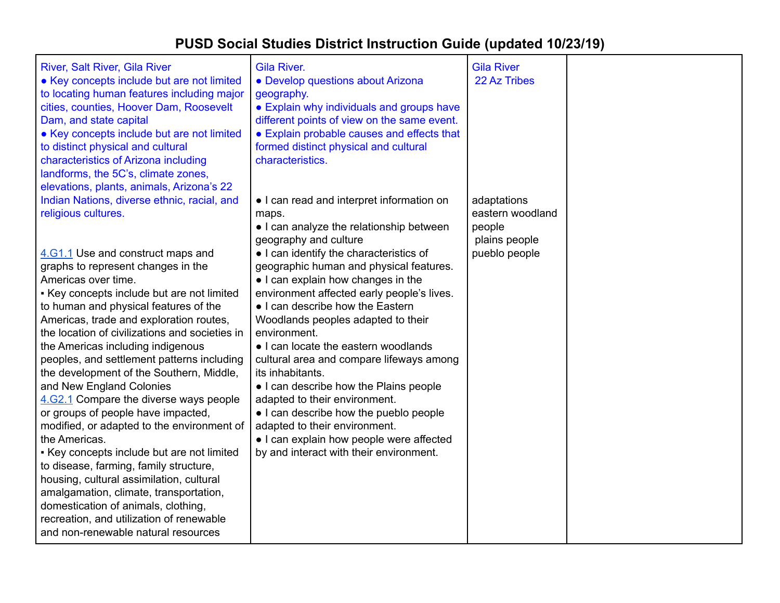| River, Salt River, Gila River<br>• Key concepts include but are not limited<br>to locating human features including major<br>cities, counties, Hoover Dam, Roosevelt<br>Dam, and state capital<br>• Key concepts include but are not limited<br>to distinct physical and cultural<br>characteristics of Arizona including<br>landforms, the 5C's, climate zones,<br>elevations, plants, animals, Arizona's 22                                                                                                                                                                                                                                                                                                                                                                                                                                                                                                                                                              | Gila River.<br>· Develop questions about Arizona<br>geography.<br>• Explain why individuals and groups have<br>different points of view on the same event.<br>• Explain probable causes and effects that<br>formed distinct physical and cultural<br>characteristics.                                                                                                                                                                                                                                                                                                                                                                                                                                                                            | <b>Gila River</b><br>22 Az Tribes                                           |  |
|----------------------------------------------------------------------------------------------------------------------------------------------------------------------------------------------------------------------------------------------------------------------------------------------------------------------------------------------------------------------------------------------------------------------------------------------------------------------------------------------------------------------------------------------------------------------------------------------------------------------------------------------------------------------------------------------------------------------------------------------------------------------------------------------------------------------------------------------------------------------------------------------------------------------------------------------------------------------------|--------------------------------------------------------------------------------------------------------------------------------------------------------------------------------------------------------------------------------------------------------------------------------------------------------------------------------------------------------------------------------------------------------------------------------------------------------------------------------------------------------------------------------------------------------------------------------------------------------------------------------------------------------------------------------------------------------------------------------------------------|-----------------------------------------------------------------------------|--|
| Indian Nations, diverse ethnic, racial, and<br>religious cultures.<br>4.G1.1 Use and construct maps and<br>graphs to represent changes in the<br>Americas over time.<br>- Key concepts include but are not limited<br>to human and physical features of the<br>Americas, trade and exploration routes,<br>the location of civilizations and societies in<br>the Americas including indigenous<br>peoples, and settlement patterns including<br>the development of the Southern, Middle,<br>and New England Colonies<br>4.62.1 Compare the diverse ways people<br>or groups of people have impacted,<br>modified, or adapted to the environment of<br>the Americas.<br>- Key concepts include but are not limited<br>to disease, farming, family structure,<br>housing, cultural assimilation, cultural<br>amalgamation, climate, transportation,<br>domestication of animals, clothing,<br>recreation, and utilization of renewable<br>and non-renewable natural resources | • I can read and interpret information on<br>maps.<br>• I can analyze the relationship between<br>geography and culture<br>• I can identify the characteristics of<br>geographic human and physical features.<br>• I can explain how changes in the<br>environment affected early people's lives.<br>• I can describe how the Eastern<br>Woodlands peoples adapted to their<br>environment.<br>• I can locate the eastern woodlands<br>cultural area and compare lifeways among<br>its inhabitants.<br>• I can describe how the Plains people<br>adapted to their environment.<br>• I can describe how the pueblo people<br>adapted to their environment.<br>• I can explain how people were affected<br>by and interact with their environment. | adaptations<br>eastern woodland<br>people<br>plains people<br>pueblo people |  |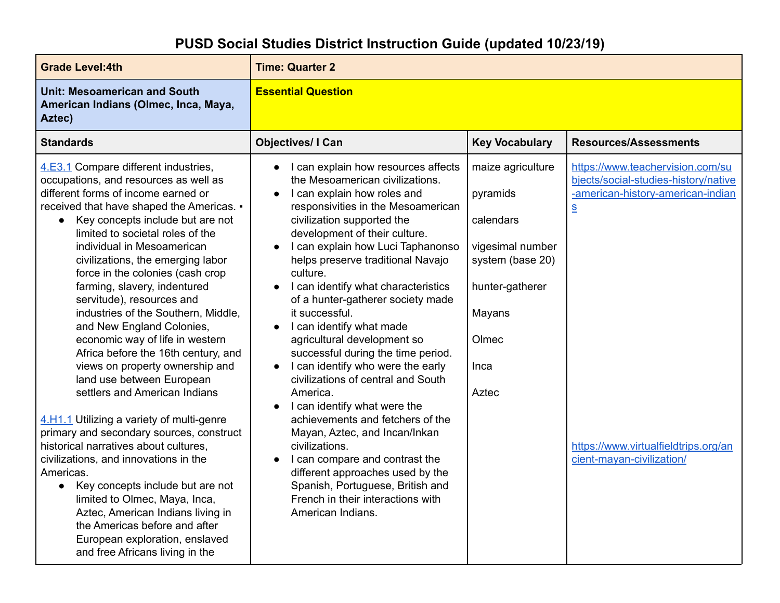| <b>Grade Level:4th</b>                                                                                                                                                                                                                                                                                                                                                                                                                                                                                                                                                                                                                                                                                                                                                                                                                  | <b>Time: Quarter 2</b>                                                                                                                                                                                                                                                                                                                                                                                                                                                                                                                                                                                                                                                                                                                                                    |                                                                                                                                           |                                                                                                                                                                                                                            |
|-----------------------------------------------------------------------------------------------------------------------------------------------------------------------------------------------------------------------------------------------------------------------------------------------------------------------------------------------------------------------------------------------------------------------------------------------------------------------------------------------------------------------------------------------------------------------------------------------------------------------------------------------------------------------------------------------------------------------------------------------------------------------------------------------------------------------------------------|---------------------------------------------------------------------------------------------------------------------------------------------------------------------------------------------------------------------------------------------------------------------------------------------------------------------------------------------------------------------------------------------------------------------------------------------------------------------------------------------------------------------------------------------------------------------------------------------------------------------------------------------------------------------------------------------------------------------------------------------------------------------------|-------------------------------------------------------------------------------------------------------------------------------------------|----------------------------------------------------------------------------------------------------------------------------------------------------------------------------------------------------------------------------|
| <b>Unit: Mesoamerican and South</b><br>American Indians (Olmec, Inca, Maya,<br>Aztec)                                                                                                                                                                                                                                                                                                                                                                                                                                                                                                                                                                                                                                                                                                                                                   | <b>Essential Question</b>                                                                                                                                                                                                                                                                                                                                                                                                                                                                                                                                                                                                                                                                                                                                                 |                                                                                                                                           |                                                                                                                                                                                                                            |
| <b>Standards</b>                                                                                                                                                                                                                                                                                                                                                                                                                                                                                                                                                                                                                                                                                                                                                                                                                        | <b>Objectives/ I Can</b>                                                                                                                                                                                                                                                                                                                                                                                                                                                                                                                                                                                                                                                                                                                                                  | <b>Key Vocabulary</b>                                                                                                                     | <b>Resources/Assessments</b>                                                                                                                                                                                               |
| 4.E3.1 Compare different industries,<br>occupations, and resources as well as<br>different forms of income earned or<br>received that have shaped the Americas. .<br>Key concepts include but are not<br>limited to societal roles of the<br>individual in Mesoamerican<br>civilizations, the emerging labor<br>force in the colonies (cash crop<br>farming, slavery, indentured<br>servitude), resources and<br>industries of the Southern, Middle,<br>and New England Colonies,<br>economic way of life in western<br>Africa before the 16th century, and<br>views on property ownership and<br>land use between European<br>settlers and American Indians<br>4.H1.1 Utilizing a variety of multi-genre<br>primary and secondary sources, construct<br>historical narratives about cultures,<br>civilizations, and innovations in the | I can explain how resources affects<br>$\bullet$<br>the Mesoamerican civilizations.<br>I can explain how roles and<br>responsivities in the Mesoamerican<br>civilization supported the<br>development of their culture.<br>I can explain how Luci Taphanonso<br>helps preserve traditional Navajo<br>culture.<br>I can identify what characteristics<br>of a hunter-gatherer society made<br>it successful.<br>I can identify what made<br>$\bullet$<br>agricultural development so<br>successful during the time period.<br>I can identify who were the early<br>civilizations of central and South<br>America.<br>I can identify what were the<br>achievements and fetchers of the<br>Mayan, Aztec, and Incan/Inkan<br>civilizations.<br>I can compare and contrast the | maize agriculture<br>pyramids<br>calendars<br>vigesimal number<br>system (base 20)<br>hunter-gatherer<br>Mayans<br>Olmec<br>Inca<br>Aztec | https://www.teachervision.com/su<br>bjects/social-studies-history/native<br>-american-history-american-indian<br>$\underline{\underline{\mathsf{S}}}$<br>https://www.virtualfieldtrips.org/an<br>cient-mayan-civilization/ |
| Americas.<br>Key concepts include but are not<br>$\bullet$<br>limited to Olmec, Maya, Inca,<br>Aztec, American Indians living in<br>the Americas before and after<br>European exploration, enslaved<br>and free Africans living in the                                                                                                                                                                                                                                                                                                                                                                                                                                                                                                                                                                                                  | different approaches used by the<br>Spanish, Portuguese, British and<br>French in their interactions with<br>American Indians.                                                                                                                                                                                                                                                                                                                                                                                                                                                                                                                                                                                                                                            |                                                                                                                                           |                                                                                                                                                                                                                            |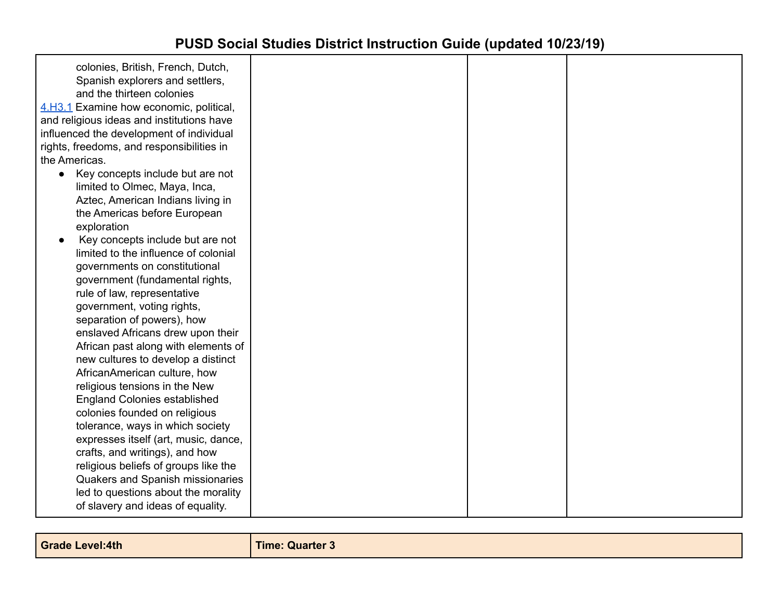| colonies, British, French, Dutch,<br>Spanish explorers and settlers,<br>and the thirteen colonies<br>4.H3.1 Examine how economic, political,<br>and religious ideas and institutions have<br>influenced the development of individual<br>rights, freedoms, and responsibilities in<br>the Americas.<br>Key concepts include but are not<br>$\bullet$<br>limited to Olmec, Maya, Inca,<br>Aztec, American Indians living in<br>the Americas before European<br>exploration<br>Key concepts include but are not<br>limited to the influence of colonial<br>governments on constitutional<br>government (fundamental rights,<br>rule of law, representative<br>government, voting rights,<br>separation of powers), how<br>enslaved Africans drew upon their<br>African past along with elements of<br>new cultures to develop a distinct<br>AfricanAmerican culture, how<br>religious tensions in the New<br><b>England Colonies established</b><br>colonies founded on religious<br>tolerance, ways in which society<br>expresses itself (art, music, dance, |  |  |
|-------------------------------------------------------------------------------------------------------------------------------------------------------------------------------------------------------------------------------------------------------------------------------------------------------------------------------------------------------------------------------------------------------------------------------------------------------------------------------------------------------------------------------------------------------------------------------------------------------------------------------------------------------------------------------------------------------------------------------------------------------------------------------------------------------------------------------------------------------------------------------------------------------------------------------------------------------------------------------------------------------------------------------------------------------------|--|--|
| crafts, and writings), and how<br>religious beliefs of groups like the<br>Quakers and Spanish missionaries<br>led to questions about the morality<br>of slavery and ideas of equality.                                                                                                                                                                                                                                                                                                                                                                                                                                                                                                                                                                                                                                                                                                                                                                                                                                                                      |  |  |
|                                                                                                                                                                                                                                                                                                                                                                                                                                                                                                                                                                                                                                                                                                                                                                                                                                                                                                                                                                                                                                                             |  |  |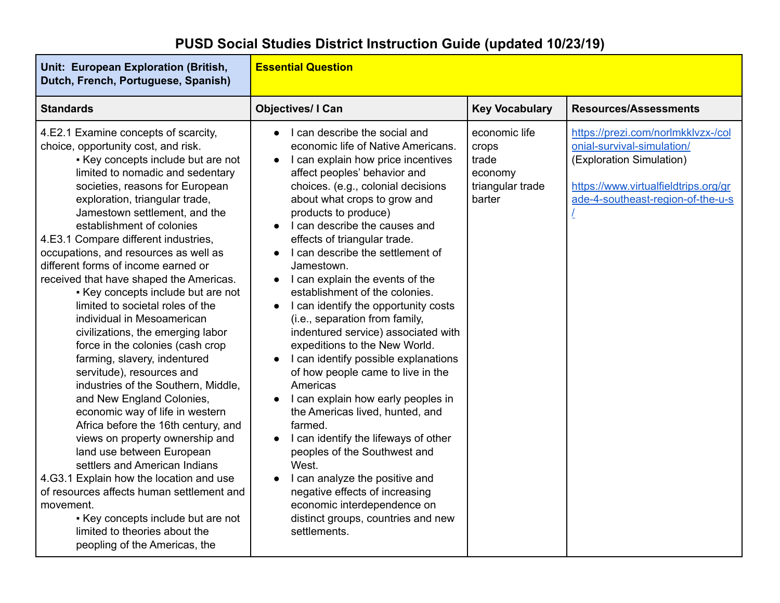#### **Unit: European Exploration (British, Dutch, French, Portuguese, Spanish) Essential Question Standards Objectives/ I Can Key Vocabulary Resources/Assessments** 4.E2.1 Examine concepts of scarcity, choice, opportunity cost, and risk. ▪ Key concepts include but are not limited to nomadic and sedentary societies, reasons for European exploration, triangular trade, Jamestown settlement, and the establishment of colonies 4.E3.1 Compare different industries, occupations, and resources as well as different forms of income earned or received that have shaped the Americas. ▪ Key concepts include but are not limited to societal roles of the individual in Mesoamerican civilizations, the emerging labor force in the colonies (cash crop farming, slavery, indentured servitude), resources and industries of the Southern, Middle, and New England Colonies, economic way of life in western Africa before the 16th century, and views on property ownership and land use between European settlers and American Indians 4.G3.1 Explain how the location and use of resources affects human settlement and movement. ● L can describe the social and economic life of Native Americans. ● I can explain how price incentives affect peoples' behavior and choices. (e.g., colonial decisions about what crops to grow and products to produce) ● L can describe the causes and effects of triangular trade. ● L can describe the settlement of Jamestown. ● I can explain the events of the establishment of the colonies. ● I can identify the opportunity costs (i.e., separation from family, indentured service) associated with expeditions to the New World. ● I can identify possible explanations of how people came to live in the Americas ● I can explain how early peoples in the Americas lived, hunted, and farmed. ● I can identify the lifeways of other peoples of the Southwest and West. ● I can analyze the positive and negative effects of increasing economic interdependence on economic life crops trade economy triangular trade barter [https://prezi.com/norlmkklvzx-/col](https://prezi.com/norlmkklvzx-/colonial-survival-simulation/) [onial-survival-simulation/](https://prezi.com/norlmkklvzx-/colonial-survival-simulation/) (Exploration Simulation) [https://www.virtualfieldtrips.org/gr](https://www.virtualfieldtrips.org/grade-4-southeast-region-of-the-u-s/) [ade-4-southeast-region-of-the-u-s](https://www.virtualfieldtrips.org/grade-4-southeast-region-of-the-u-s/) [/](https://www.virtualfieldtrips.org/grade-4-southeast-region-of-the-u-s/)

distinct groups, countries and new

settlements.

**PUSD Social Studies District Instruction Guide (updated 10/23/19)**

▪ Key concepts include but are not limited to theories about the peopling of the Americas, the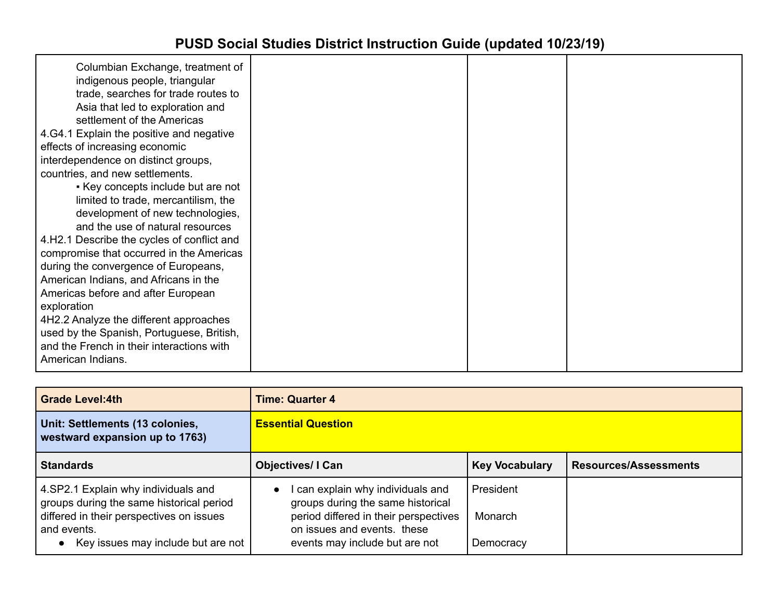| Columbian Exchange, treatment of<br>indigenous people, triangular<br>trade, searches for trade routes to<br>Asia that led to exploration and<br>settlement of the Americas<br>4.64.1 Explain the positive and negative<br>effects of increasing economic |  |  |
|----------------------------------------------------------------------------------------------------------------------------------------------------------------------------------------------------------------------------------------------------------|--|--|
| interdependence on distinct groups,                                                                                                                                                                                                                      |  |  |
| countries, and new settlements.                                                                                                                                                                                                                          |  |  |
| Key concepts include but are not                                                                                                                                                                                                                         |  |  |
| limited to trade, mercantilism, the                                                                                                                                                                                                                      |  |  |
| development of new technologies,                                                                                                                                                                                                                         |  |  |
| and the use of natural resources                                                                                                                                                                                                                         |  |  |
| 4.H2.1 Describe the cycles of conflict and                                                                                                                                                                                                               |  |  |
| compromise that occurred in the Americas                                                                                                                                                                                                                 |  |  |
| during the convergence of Europeans,                                                                                                                                                                                                                     |  |  |
| American Indians, and Africans in the                                                                                                                                                                                                                    |  |  |
| Americas before and after European                                                                                                                                                                                                                       |  |  |
| exploration                                                                                                                                                                                                                                              |  |  |
| 4H2.2 Analyze the different approaches                                                                                                                                                                                                                   |  |  |
| used by the Spanish, Portuguese, British,                                                                                                                                                                                                                |  |  |
| and the French in their interactions with                                                                                                                                                                                                                |  |  |
| American Indians.                                                                                                                                                                                                                                        |  |  |
|                                                                                                                                                                                                                                                          |  |  |

| <b>Grade Level:4th</b>                                                          | <b>Time: Quarter 4</b>                                                            |                       |                              |
|---------------------------------------------------------------------------------|-----------------------------------------------------------------------------------|-----------------------|------------------------------|
| Unit: Settlements (13 colonies,<br>westward expansion up to 1763)               | <b>Essential Question</b>                                                         |                       |                              |
| <b>Standards</b>                                                                | <b>Objectives/I Can</b>                                                           | <b>Key Vocabulary</b> | <b>Resources/Assessments</b> |
| 4.SP2.1 Explain why individuals and<br>groups during the same historical period | can explain why individuals and<br>$\bullet$<br>groups during the same historical | President             |                              |
| differed in their perspectives on issues                                        | period differed in their perspectives<br>on issues and events. these              | Monarch               |                              |
| and events.<br>• Key issues may include but are not                             | events may include but are not                                                    | Democracy             |                              |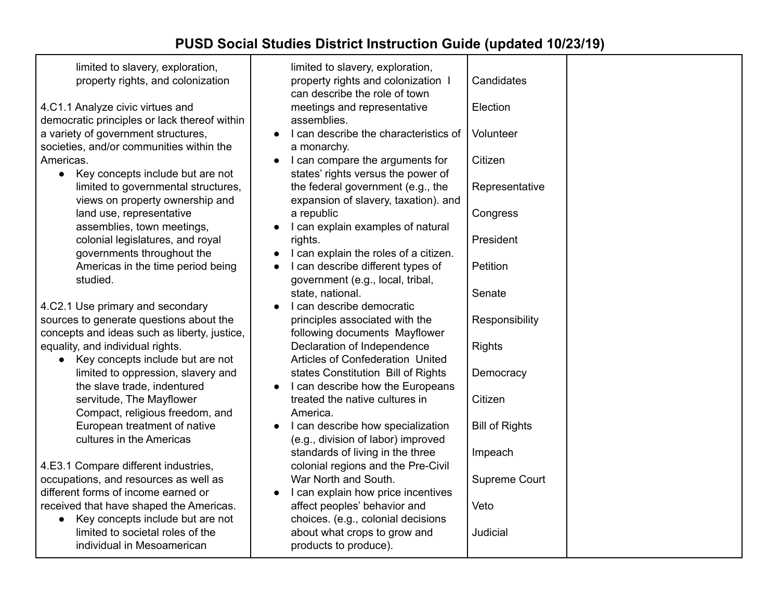limited to slavery, exploration, property rights, and colonization

4.C1.1 Analyze civic virtues and democratic principles or lack thereof within a variety of government structures, societies, and/or communities within the Americas.

● Key concepts include but are not limited to governmental structures, views on property ownership and land use, representative assemblies, town meetings, colonial legislatures, and royal governments throughout the Americas in the time period being studied.

4.C2.1 Use primary and secondary sources to generate questions about the concepts and ideas such as liberty, justice, equality, and individual rights.

● Key concepts include but are not limited to oppression, slavery and the slave trade, indentured servitude, The Mayflower Compact, religious freedom, and European treatment of native cultures in the Americas

4.E3.1 Compare different industries, occupations, and resources as well as different forms of income earned or received that have shaped the Americas.

● Key concepts include but are not limited to societal roles of the individual in Mesoamerican

| limited to slavery, exploration,<br>property rights and colonization I<br>can describe the role of town | Candidates            |  |
|---------------------------------------------------------------------------------------------------------|-----------------------|--|
| meetings and representative<br>assemblies.                                                              | Election              |  |
| I can describe the characteristics of<br>$\bullet$<br>a monarchy.                                       | Volunteer             |  |
| I can compare the arguments for<br>$\bullet$<br>states' rights versus the power of                      | Citizen               |  |
| the federal government (e.g., the<br>expansion of slavery, taxation). and                               | Representative        |  |
| a republic<br>I can explain examples of natural<br>$\bullet$                                            | Congress              |  |
| rights.<br>I can explain the roles of a citizen.<br>$\bullet$                                           | President             |  |
| I can describe different types of<br>$\bullet$<br>government (e.g., local, tribal,                      | Petition              |  |
| state, national.<br>I can describe democratic<br>$\bullet$                                              | Senate                |  |
| principles associated with the<br>following documents Mayflower                                         | Responsibility        |  |
| Declaration of Independence<br><b>Articles of Confederation United</b>                                  | <b>Rights</b>         |  |
| states Constitution Bill of Rights<br>I can describe how the Europeans<br>$\bullet$                     | Democracy             |  |
| treated the native cultures in<br>America.                                                              | Citizen               |  |
| I can describe how specialization<br>$\bullet$<br>(e.g., division of labor) improved                    | <b>Bill of Rights</b> |  |
| standards of living in the three<br>colonial regions and the Pre-Civil                                  | Impeach               |  |
| War North and South.<br>I can explain how price incentives<br>$\bullet$                                 | Supreme Court         |  |
| affect peoples' behavior and<br>choices. (e.g., colonial decisions                                      | Veto                  |  |
| about what crops to grow and<br>products to produce).                                                   | Judicial              |  |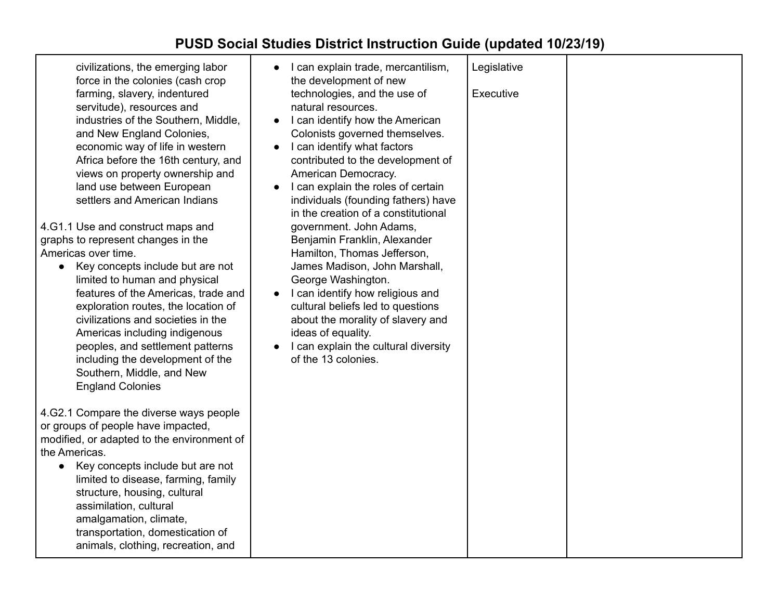| civilizations, the emerging labor<br>force in the colonies (cash crop<br>farming, slavery, indentured<br>servitude), resources and<br>industries of the Southern, Middle,<br>and New England Colonies,<br>economic way of life in western<br>Africa before the 16th century, and<br>views on property ownership and<br>land use between European<br>settlers and American Indians<br>4.G1.1 Use and construct maps and<br>graphs to represent changes in the<br>Americas over time.<br>Key concepts include but are not<br>$\bullet$<br>limited to human and physical<br>features of the Americas, trade and<br>exploration routes, the location of<br>civilizations and societies in the<br>Americas including indigenous<br>peoples, and settlement patterns<br>including the development of the<br>Southern, Middle, and New<br><b>England Colonies</b> | I can explain trade, mercantilism,<br>the development of new<br>technologies, and the use of<br>natural resources.<br>I can identify how the American<br>Colonists governed themselves.<br>I can identify what factors<br>contributed to the development of<br>American Democracy.<br>I can explain the roles of certain<br>individuals (founding fathers) have<br>in the creation of a constitutional<br>government. John Adams,<br>Benjamin Franklin, Alexander<br>Hamilton, Thomas Jefferson,<br>James Madison, John Marshall,<br>George Washington.<br>I can identify how religious and<br>cultural beliefs led to questions<br>about the morality of slavery and<br>ideas of equality.<br>I can explain the cultural diversity<br>of the 13 colonies. | Legislative<br>Executive |  |
|------------------------------------------------------------------------------------------------------------------------------------------------------------------------------------------------------------------------------------------------------------------------------------------------------------------------------------------------------------------------------------------------------------------------------------------------------------------------------------------------------------------------------------------------------------------------------------------------------------------------------------------------------------------------------------------------------------------------------------------------------------------------------------------------------------------------------------------------------------|------------------------------------------------------------------------------------------------------------------------------------------------------------------------------------------------------------------------------------------------------------------------------------------------------------------------------------------------------------------------------------------------------------------------------------------------------------------------------------------------------------------------------------------------------------------------------------------------------------------------------------------------------------------------------------------------------------------------------------------------------------|--------------------------|--|
| 4.G2.1 Compare the diverse ways people<br>or groups of people have impacted,<br>modified, or adapted to the environment of<br>the Americas.<br>Key concepts include but are not<br>$\bullet$<br>limited to disease, farming, family<br>structure, housing, cultural<br>assimilation, cultural<br>amalgamation, climate,<br>transportation, domestication of<br>animals, clothing, recreation, and                                                                                                                                                                                                                                                                                                                                                                                                                                                          |                                                                                                                                                                                                                                                                                                                                                                                                                                                                                                                                                                                                                                                                                                                                                            |                          |  |